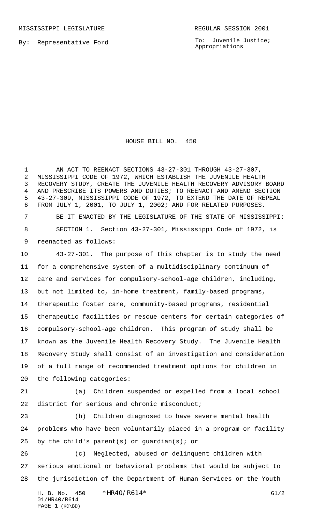MISSISSIPPI LEGISLATURE **REGULAR SESSION 2001** 

By: Representative Ford

To: Juvenile Justice; Appropriations

HOUSE BILL NO. 450

1 AN ACT TO REENACT SECTIONS 43-27-301 THROUGH 43-27-307, MISSISSIPPI CODE OF 1972, WHICH ESTABLISH THE JUVENILE HEALTH RECOVERY STUDY, CREATE THE JUVENILE HEALTH RECOVERY ADVISORY BOARD AND PRESCRIBE ITS POWERS AND DUTIES; TO REENACT AND AMEND SECTION 43-27-309, MISSISSIPPI CODE OF 1972, TO EXTEND THE DATE OF REPEAL FROM JULY 1, 2001, TO JULY 1, 2002; AND FOR RELATED PURPOSES. BE IT ENACTED BY THE LEGISLATURE OF THE STATE OF MISSISSIPPI: SECTION 1. Section 43-27-301, Mississippi Code of 1972, is reenacted as follows:

 43-27-301. The purpose of this chapter is to study the need for a comprehensive system of a multidisciplinary continuum of care and services for compulsory-school-age children, including, but not limited to, in-home treatment, family-based programs, therapeutic foster care, community-based programs, residential therapeutic facilities or rescue centers for certain categories of compulsory-school-age children. This program of study shall be known as the Juvenile Health Recovery Study. The Juvenile Health Recovery Study shall consist of an investigation and consideration of a full range of recommended treatment options for children in the following categories:

 (a) Children suspended or expelled from a local school 22 district for serious and chronic misconduct;

 (b) Children diagnosed to have severe mental health problems who have been voluntarily placed in a program or facility by the child's parent(s) or guardian(s); or

 (c) Neglected, abused or delinquent children with serious emotional or behavioral problems that would be subject to the jurisdiction of the Department of Human Services or the Youth

H. B. No. 450 \*HR40/R614\* G1/2 01/HR40/R614 PAGE 1 (KC\BD)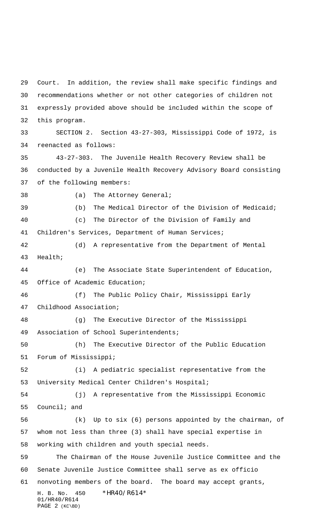H. B. No. 450 \*HR40/R614\* 01/HR40/R614 Court. In addition, the review shall make specific findings and recommendations whether or not other categories of children not expressly provided above should be included within the scope of this program. SECTION 2. Section 43-27-303, Mississippi Code of 1972, is reenacted as follows: 43-27-303. The Juvenile Health Recovery Review shall be conducted by a Juvenile Health Recovery Advisory Board consisting of the following members: 38 (a) The Attorney General; (b) The Medical Director of the Division of Medicaid; (c) The Director of the Division of Family and Children's Services, Department of Human Services; (d) A representative from the Department of Mental Health; (e) The Associate State Superintendent of Education, Office of Academic Education; (f) The Public Policy Chair, Mississippi Early Childhood Association; (g) The Executive Director of the Mississippi Association of School Superintendents; (h) The Executive Director of the Public Education Forum of Mississippi; (i) A pediatric specialist representative from the University Medical Center Children's Hospital; (j) A representative from the Mississippi Economic Council; and (k) Up to six (6) persons appointed by the chairman, of whom not less than three (3) shall have special expertise in working with children and youth special needs. The Chairman of the House Juvenile Justice Committee and the Senate Juvenile Justice Committee shall serve as ex officio nonvoting members of the board. The board may accept grants,

PAGE 2 (KC\BD)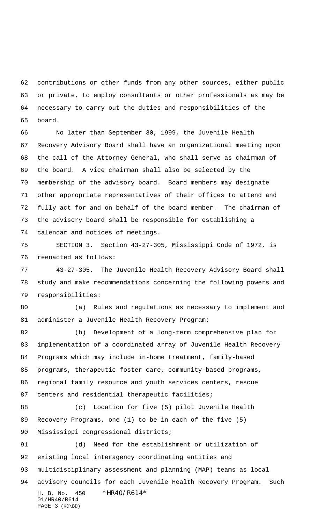contributions or other funds from any other sources, either public or private, to employ consultants or other professionals as may be necessary to carry out the duties and responsibilities of the board.

 No later than September 30, 1999, the Juvenile Health Recovery Advisory Board shall have an organizational meeting upon the call of the Attorney General, who shall serve as chairman of the board. A vice chairman shall also be selected by the membership of the advisory board. Board members may designate other appropriate representatives of their offices to attend and fully act for and on behalf of the board member. The chairman of the advisory board shall be responsible for establishing a calendar and notices of meetings.

 SECTION 3. Section 43-27-305, Mississippi Code of 1972, is reenacted as follows:

 43-27-305. The Juvenile Health Recovery Advisory Board shall study and make recommendations concerning the following powers and responsibilities:

 (a) Rules and regulations as necessary to implement and 81 administer a Juvenile Health Recovery Program;

 (b) Development of a long-term comprehensive plan for implementation of a coordinated array of Juvenile Health Recovery Programs which may include in-home treatment, family-based programs, therapeutic foster care, community-based programs, regional family resource and youth services centers, rescue 87 centers and residential therapeutic facilities;

 (c) Location for five (5) pilot Juvenile Health Recovery Programs, one (1) to be in each of the five (5) 90 Mississippi congressional districts;

H. B. No. 450 \*HR40/R614\* 01/HR40/R614 PAGE 3 (KC\BD) (d) Need for the establishment or utilization of existing local interagency coordinating entities and multidisciplinary assessment and planning (MAP) teams as local advisory councils for each Juvenile Health Recovery Program. Such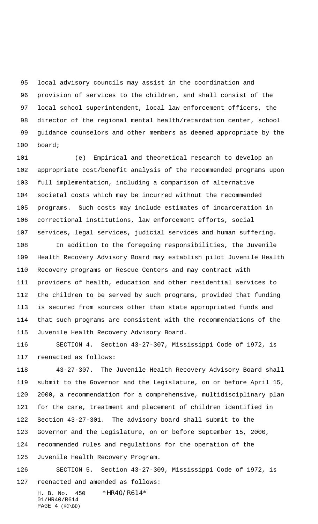local advisory councils may assist in the coordination and provision of services to the children, and shall consist of the local school superintendent, local law enforcement officers, the director of the regional mental health/retardation center, school guidance counselors and other members as deemed appropriate by the board;

 (e) Empirical and theoretical research to develop an appropriate cost/benefit analysis of the recommended programs upon full implementation, including a comparison of alternative societal costs which may be incurred without the recommended programs. Such costs may include estimates of incarceration in correctional institutions, law enforcement efforts, social services, legal services, judicial services and human suffering.

 In addition to the foregoing responsibilities, the Juvenile Health Recovery Advisory Board may establish pilot Juvenile Health Recovery programs or Rescue Centers and may contract with providers of health, education and other residential services to the children to be served by such programs, provided that funding is secured from sources other than state appropriated funds and that such programs are consistent with the recommendations of the Juvenile Health Recovery Advisory Board.

 SECTION 4. Section 43-27-307, Mississippi Code of 1972, is reenacted as follows:

 43-27-307. The Juvenile Health Recovery Advisory Board shall submit to the Governor and the Legislature, on or before April 15, 2000, a recommendation for a comprehensive, multidisciplinary plan for the care, treatment and placement of children identified in Section 43-27-301. The advisory board shall submit to the Governor and the Legislature, on or before September 15, 2000, recommended rules and regulations for the operation of the Juvenile Health Recovery Program.

 SECTION 5. Section 43-27-309, Mississippi Code of 1972, is reenacted and amended as follows:

H. B. No. 450 \*HR40/R614\* 01/HR40/R614 PAGE 4 (KC\BD)